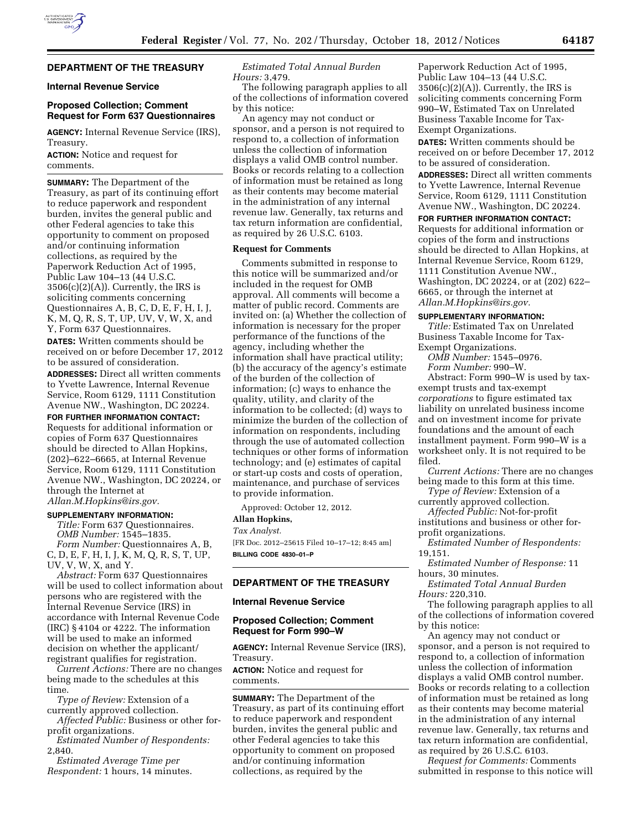# **DEPARTMENT OF THE TREASURY**

## **Internal Revenue Service**

## **Proposed Collection; Comment Request for Form 637 Questionnaires**

**AGENCY:** Internal Revenue Service (IRS), Treasury.

**ACTION:** Notice and request for comments.

**SUMMARY:** The Department of the Treasury, as part of its continuing effort to reduce paperwork and respondent burden, invites the general public and other Federal agencies to take this opportunity to comment on proposed and/or continuing information collections, as required by the Paperwork Reduction Act of 1995, Public Law 104–13 (44 U.S.C.  $3506(c)(2)(A)$ . Currently, the IRS is soliciting comments concerning Questionnaires A, B, C, D, E, F, H, I, J, K, M, Q, R, S, T, UP, UV, V, W, X, and Y, Form 637 Questionnaires.

**DATES:** Written comments should be received on or before December 17, 2012 to be assured of consideration. **ADDRESSES:** Direct all written comments

to Yvette Lawrence, Internal Revenue Service, Room 6129, 1111 Constitution Avenue NW., Washington, DC 20224.

**FOR FURTHER INFORMATION CONTACT:** 

Requests for additional information or copies of Form 637 Questionnaires should be directed to Allan Hopkins, (202)–622–6665, at Internal Revenue Service, Room 6129, 1111 Constitution Avenue NW., Washington, DC 20224, or through the Internet at *[Allan.M.Hopkins@irs.gov.](mailto:Allan.M.Hopkins@irs.gov)* 

### **SUPPLEMENTARY INFORMATION:**

*Title:* Form 637 Questionnaires. *OMB Number:* 1545–1835. *Form Number:* Questionnaires A, B, C, D, E, F, H, I, J, K, M, Q, R, S, T, UP, UV, V, W, X, and Y.

*Abstract:* Form 637 Questionnaires will be used to collect information about persons who are registered with the Internal Revenue Service (IRS) in accordance with Internal Revenue Code (IRC) § 4104 or 4222. The information will be used to make an informed decision on whether the applicant/ registrant qualifies for registration.

*Current Actions:* There are no changes being made to the schedules at this time.

*Type of Review:* Extension of a currently approved collection.

*Affected Public:* Business or other forprofit organizations.

*Estimated Number of Respondents:*  2,840.

*Estimated Average Time per Respondent:* 1 hours, 14 minutes.

*Estimated Total Annual Burden Hours:* 3,479.

The following paragraph applies to all of the collections of information covered by this notice:

An agency may not conduct or sponsor, and a person is not required to respond to, a collection of information unless the collection of information displays a valid OMB control number. Books or records relating to a collection of information must be retained as long as their contents may become material in the administration of any internal revenue law. Generally, tax returns and tax return information are confidential, as required by 26 U.S.C. 6103.

## **Request for Comments**

Comments submitted in response to this notice will be summarized and/or included in the request for OMB approval. All comments will become a matter of public record. Comments are invited on: (a) Whether the collection of information is necessary for the proper performance of the functions of the agency, including whether the information shall have practical utility; (b) the accuracy of the agency's estimate of the burden of the collection of information; (c) ways to enhance the quality, utility, and clarity of the information to be collected; (d) ways to minimize the burden of the collection of information on respondents, including through the use of automated collection techniques or other forms of information technology; and (e) estimates of capital or start-up costs and costs of operation, maintenance, and purchase of services to provide information.

Approved: October 12, 2012. **Allan Hopkins,** 

### *Tax Analyst.*

[FR Doc. 2012–25615 Filed 10–17–12; 8:45 am] **BILLING CODE 4830–01–P** 

# **DEPARTMENT OF THE TREASURY**

### **Internal Revenue Service**

# **Proposed Collection; Comment Request for Form 990–W**

**AGENCY:** Internal Revenue Service (IRS), Treasury.

**ACTION:** Notice and request for comments.

**SUMMARY:** The Department of the Treasury, as part of its continuing effort to reduce paperwork and respondent burden, invites the general public and other Federal agencies to take this opportunity to comment on proposed and/or continuing information collections, as required by the

Paperwork Reduction Act of 1995, Public Law 104–13 (44 U.S.C.  $3506(c)(2)(A)$ . Currently, the IRS is soliciting comments concerning Form 990–W, Estimated Tax on Unrelated Business Taxable Income for Tax-Exempt Organizations.

**DATES:** Written comments should be received on or before December 17, 2012 to be assured of consideration.

**ADDRESSES:** Direct all written comments to Yvette Lawrence, Internal Revenue Service, Room 6129, 1111 Constitution Avenue NW., Washington, DC 20224.

**FOR FURTHER INFORMATION CONTACT:**  Requests for additional information or copies of the form and instructions should be directed to Allan Hopkins, at Internal Revenue Service, Room 6129, 1111 Constitution Avenue NW., Washington, DC 20224, or at (202) 622– 6665, or through the internet at *[Allan.M.Hopkins@irs.gov.](mailto:Allan.M.Hopkins@irs.gov)* 

### **SUPPLEMENTARY INFORMATION:**

*Title:* Estimated Tax on Unrelated Business Taxable Income for Tax-Exempt Organizations.

*OMB Number:* 1545–0976. *Form Number:* 990–W.

Abstract: Form 990–W is used by taxexempt trusts and tax-exempt *corporations* to figure estimated tax liability on unrelated business income and on investment income for private foundations and the amount of each installment payment. Form 990–W is a worksheet only. It is not required to be filed.

*Current Actions:* There are no changes being made to this form at this time.

*Type of Review:* Extension of a currently approved collection.

*Affected Public:* Not-for-profit institutions and business or other for-

profit organizations.

*Estimated Number of Respondents:*  19,151.

*Estimated Number of Response:* 11 hours, 30 minutes.

*Estimated Total Annual Burden Hours:* 220,310.

The following paragraph applies to all of the collections of information covered by this notice:

An agency may not conduct or sponsor, and a person is not required to respond to, a collection of information unless the collection of information displays a valid OMB control number. Books or records relating to a collection of information must be retained as long as their contents may become material in the administration of any internal revenue law. Generally, tax returns and tax return information are confidential, as required by 26 U.S.C. 6103.

*Request for Comments:* Comments submitted in response to this notice will